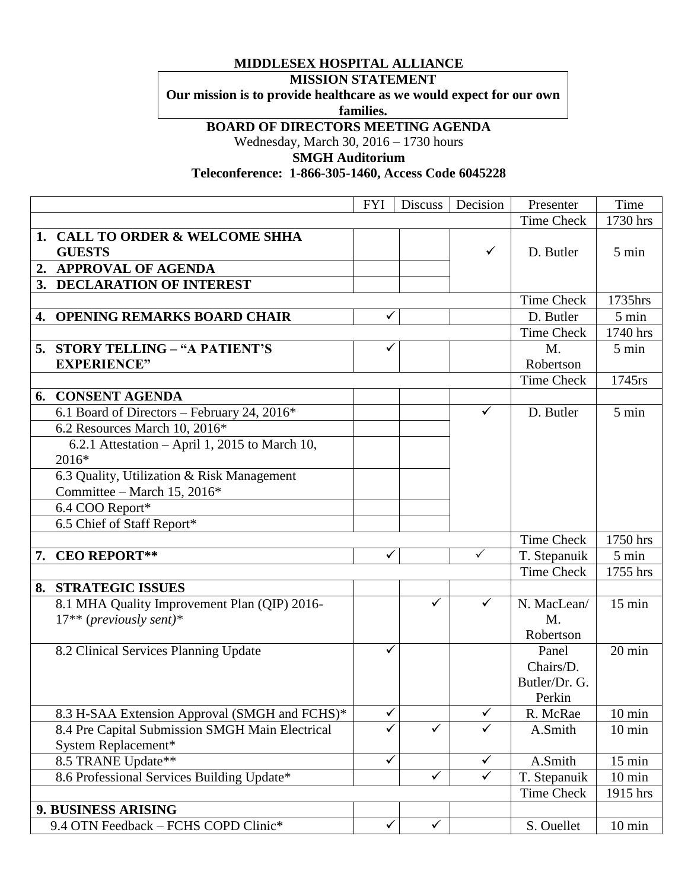## **MIDDLESEX HOSPITAL ALLIANCE**

## **MISSION STATEMENT**

**Our mission is to provide healthcare as we would expect for our own** 

**families.**

## **BOARD OF DIRECTORS MEETING AGENDA**

Wednesday, March 30, 2016 – 1730 hours

**SMGH Auditorium**

## **Teleconference: 1-866-305-1460, Access Code 6045228**

|    |                                                 | <b>FYI</b>   | <b>Discuss</b> | Decision     | Presenter         | Time             |
|----|-------------------------------------------------|--------------|----------------|--------------|-------------------|------------------|
|    |                                                 |              |                |              | Time Check        | 1730 hrs         |
| 1. | <b>CALL TO ORDER &amp; WELCOME SHHA</b>         |              |                |              |                   |                  |
|    | <b>GUESTS</b>                                   |              |                | ✓            | D. Butler         | 5 min            |
|    | 2. APPROVAL OF AGENDA                           |              |                |              |                   |                  |
|    | 3. DECLARATION OF INTEREST                      |              |                |              |                   |                  |
|    |                                                 |              |                |              | <b>Time Check</b> | 1735hrs          |
| 4. | <b>OPENING REMARKS BOARD CHAIR</b>              | ✓            |                |              | D. Butler         | 5 min            |
|    |                                                 |              |                |              | <b>Time Check</b> | 1740 hrs         |
|    | 5. STORY TELLING - "A PATIENT'S                 | ✓            |                |              | M.                | 5 min            |
|    | <b>EXPERIENCE"</b>                              |              |                |              | Robertson         |                  |
|    |                                                 |              |                |              | <b>Time Check</b> | 1745rs           |
|    | <b>6. CONSENT AGENDA</b>                        |              |                |              |                   |                  |
|    | 6.1 Board of Directors - February 24, 2016*     |              |                | $\checkmark$ | D. Butler         | 5 min            |
|    | 6.2 Resources March 10, 2016*                   |              |                |              |                   |                  |
|    | 6.2.1 Attestation - April 1, 2015 to March 10,  |              |                |              |                   |                  |
|    | 2016*                                           |              |                |              |                   |                  |
|    | 6.3 Quality, Utilization & Risk Management      |              |                |              |                   |                  |
|    | Committee - March 15, 2016*                     |              |                |              |                   |                  |
|    | 6.4 COO Report*                                 |              |                |              |                   |                  |
|    | 6.5 Chief of Staff Report*                      |              |                |              |                   |                  |
|    |                                                 |              |                |              | <b>Time Check</b> | 1750 hrs         |
| 7. | <b>CEO REPORT**</b>                             | ✓            |                | ✓            | T. Stepanuik      | 5 min            |
|    |                                                 |              |                |              | <b>Time Check</b> | 1755 hrs         |
| 8. | <b>STRATEGIC ISSUES</b>                         |              |                |              |                   |                  |
|    | 8.1 MHA Quality Improvement Plan (QIP) 2016-    |              |                | ✓            | N. MacLean/       | $15 \text{ min}$ |
|    | $17**$ (previously sent)*                       |              |                |              | $M_{\odot}$       |                  |
|    |                                                 |              |                |              | Robertson         |                  |
|    | 8.2 Clinical Services Planning Update           | ✓            |                |              | Panel             | 20 min           |
|    |                                                 |              |                |              | Chairs/D.         |                  |
|    |                                                 |              |                |              | Butler/Dr. G.     |                  |
|    |                                                 |              |                |              | Perkin            |                  |
|    | 8.3 H-SAA Extension Approval (SMGH and FCHS)*   | ✓            |                | $\checkmark$ | R. McRae          | $10 \text{ min}$ |
|    | 8.4 Pre Capital Submission SMGH Main Electrical | $\checkmark$ | $\checkmark$   | $\checkmark$ | A.Smith           | $10 \text{ min}$ |
|    | System Replacement*                             |              |                |              |                   |                  |
|    | 8.5 TRANE Update**                              | $\checkmark$ |                | $\checkmark$ | A.Smith           | $15 \text{ min}$ |
|    | 8.6 Professional Services Building Update*      |              | $\checkmark$   | $\checkmark$ | T. Stepanuik      | $10 \text{ min}$ |
|    |                                                 |              |                |              |                   |                  |
|    |                                                 |              |                |              | Time Check        | 1915 hrs         |
|    | 9. BUSINESS ARISING                             |              |                |              |                   |                  |